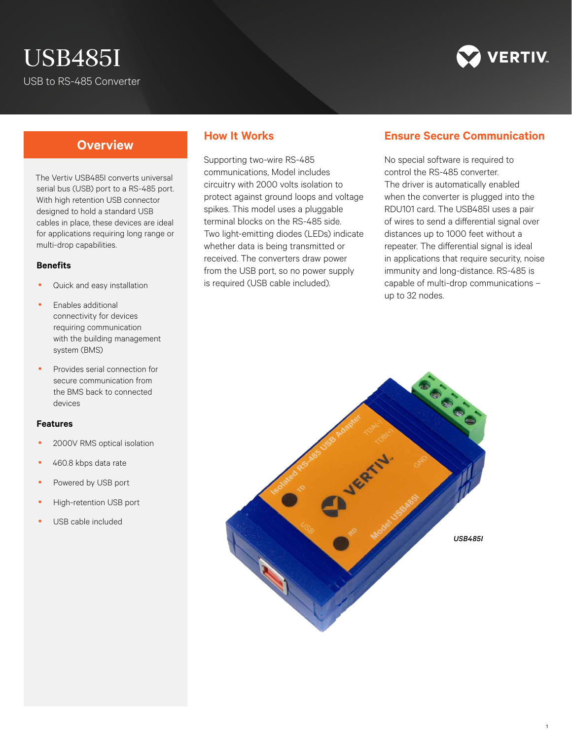# USB485I USB to RS-485 Converter



## **Overview**

The Vertiv USB485I converts universal serial bus (USB) port to a RS-485 port. With high retention USB connector designed to hold a standard USB cables in place, these devices are ideal for applications requiring long range or multi-drop capabilities.

#### **Benefits**

- Quick and easy installation
- Enables additional connectivity for devices requiring communication with the building management system (BMS)
- Provides serial connection for secure communication from the BMS back to connected devices

#### **Features**

- 2000V RMS optical isolation
- 460.8 kbps data rate
- Powered by USB port
- High-retention USB port
- USB cable included

#### **How It Works**

Supporting two-wire RS-485 communications, Model includes circuitry with 2000 volts isolation to protect against ground loops and voltage spikes. This model uses a pluggable terminal blocks on the RS-485 side. Two light-emitting diodes (LEDs) indicate whether data is being transmitted or received. The converters draw power from the USB port, so no power supply is required (USB cable included).

### **Ensure Secure Communication**

No special software is required to control the RS-485 converter. The driver is automatically enabled when the converter is plugged into the RDU101 card. The USB485I uses a pair of wires to send a differential signal over distances up to 1000 feet without a repeater. The differential signal is ideal in applications that require security, noise immunity and long-distance. RS-485 is capable of multi-drop communications – up to 32 nodes.

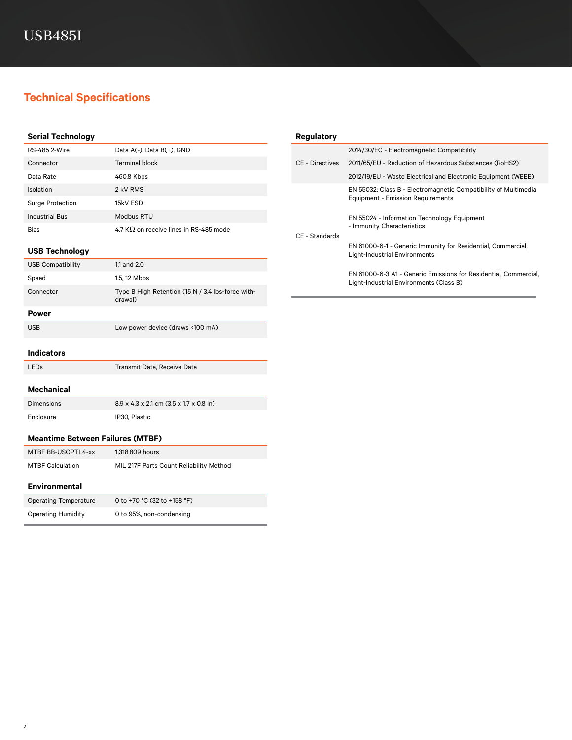# **Technical Specifications**

| <b>Serial Technology</b>                |                                                              | <b>Regulatory</b>      |                                                                                                                                                                                                                                                                                                                                                                                                                 |
|-----------------------------------------|--------------------------------------------------------------|------------------------|-----------------------------------------------------------------------------------------------------------------------------------------------------------------------------------------------------------------------------------------------------------------------------------------------------------------------------------------------------------------------------------------------------------------|
| <b>RS-485 2-Wire</b>                    | Data A(-), Data B(+), GND                                    |                        | 2014/30/EC - Electromagnetic Compatibility                                                                                                                                                                                                                                                                                                                                                                      |
| Connector                               | <b>Terminal block</b>                                        | <b>CE</b> - Directives | 2011/65/EU - Reduction of Hazardous Substances (RoHS2)                                                                                                                                                                                                                                                                                                                                                          |
| Data Rate                               | 460.8 Kbps                                                   |                        | 2012/19/EU - Waste Electrical and Electronic Equipment (WEEE)                                                                                                                                                                                                                                                                                                                                                   |
| Isolation                               | 2 kV RMS                                                     |                        | EN 55032: Class B - Electromagnetic Compatibility of Multimedia<br><b>Equipment - Emission Requirements</b><br>EN 55024 - Information Technology Equipment<br>- Immunity Characteristics<br>EN 61000-6-1 - Generic Immunity for Residential, Commercial,<br><b>Light-Industrial Environments</b><br>EN 61000-6-3 A1 - Generic Emissions for Residential, Commercial,<br>Light-Industrial Environments (Class B) |
| <b>Surge Protection</b>                 | 15kV ESD                                                     |                        |                                                                                                                                                                                                                                                                                                                                                                                                                 |
| <b>Industrial Bus</b>                   | Modbus RTU                                                   |                        |                                                                                                                                                                                                                                                                                                                                                                                                                 |
| Bias                                    | 4.7 K $\Omega$ on receive lines in RS-485 mode               | CE - Standards         |                                                                                                                                                                                                                                                                                                                                                                                                                 |
| <b>USB Technology</b>                   |                                                              |                        |                                                                                                                                                                                                                                                                                                                                                                                                                 |
| <b>USB Compatibility</b>                | 1.1 and 2.0                                                  |                        |                                                                                                                                                                                                                                                                                                                                                                                                                 |
| Speed                                   | 1.5, 12 Mbps                                                 |                        |                                                                                                                                                                                                                                                                                                                                                                                                                 |
| Connector                               | Type B High Retention (15 N / 3.4 lbs-force with-<br>drawal) |                        |                                                                                                                                                                                                                                                                                                                                                                                                                 |
| <b>Power</b>                            |                                                              |                        |                                                                                                                                                                                                                                                                                                                                                                                                                 |
| <b>USB</b>                              | Low power device (draws <100 mA)                             |                        |                                                                                                                                                                                                                                                                                                                                                                                                                 |
| <b>Indicators</b>                       |                                                              |                        |                                                                                                                                                                                                                                                                                                                                                                                                                 |
| LEDs                                    | Transmit Data, Receive Data                                  |                        |                                                                                                                                                                                                                                                                                                                                                                                                                 |
| <b>Mechanical</b>                       |                                                              |                        |                                                                                                                                                                                                                                                                                                                                                                                                                 |
| <b>Dimensions</b>                       | 8.9 x 4.3 x 2.1 cm (3.5 x 1.7 x 0.8 in)                      |                        |                                                                                                                                                                                                                                                                                                                                                                                                                 |
| Enclosure                               | IP30, Plastic                                                |                        |                                                                                                                                                                                                                                                                                                                                                                                                                 |
| <b>Meantime Between Failures (MTBF)</b> |                                                              |                        |                                                                                                                                                                                                                                                                                                                                                                                                                 |
| MTBF BB-USOPTL4-xx                      | 1,318,809 hours                                              |                        |                                                                                                                                                                                                                                                                                                                                                                                                                 |
| <b>MTBF Calculation</b>                 | MIL 217F Parts Count Reliability Method                      |                        |                                                                                                                                                                                                                                                                                                                                                                                                                 |
| <b>Environmental</b>                    |                                                              |                        |                                                                                                                                                                                                                                                                                                                                                                                                                 |
| <b>Operating Temperature</b>            | 0 to +70 °C (32 to +158 °F)                                  |                        |                                                                                                                                                                                                                                                                                                                                                                                                                 |
| <b>Operating Humidity</b>               | 0 to 95%, non-condensing                                     |                        |                                                                                                                                                                                                                                                                                                                                                                                                                 |